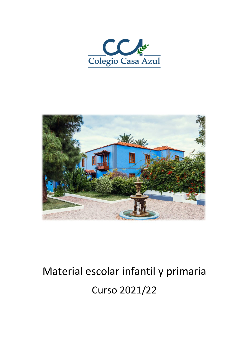



# Material escolar infantil y primaria Curso 2021/22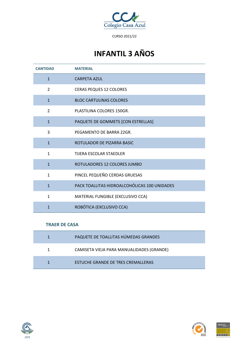

# **INFANTIL 3 AÑOS**

| <b>CANTIDAD</b> | <b>MATERIAL</b>                              |
|-----------------|----------------------------------------------|
| $\mathbf{1}$    | <b>CARPETA AZUL</b>                          |
| $\overline{2}$  | <b>CERAS PEQUES 12 COLORES</b>               |
| $\mathbf{1}$    | <b>BLOC CARTULINAS COLORES</b>               |
| 2               | PLASTILINA COLORES 150GR.                    |
| $\mathbf{1}$    | PAQUETE DE GOMMETS [CON ESTRELLAS]           |
| 3               | PEGAMENTO DE BARRA 22GR.                     |
| $\mathbf{1}$    | ROTULADOR DE PIZARRA BASIC                   |
| $\mathbf{1}$    | TIJERA ESCOLAR STAEDLER                      |
| $\mathbf{1}$    | ROTULADORES 12 COLORES JUMBO                 |
| $\mathbf{1}$    | PINCEL PEQUEÑO CERDAS GRUESAS                |
| $\mathbf{1}$    | PACK TOALLITAS HIDROALCOHÓLICAS 100 UNIDADES |
| $\mathbf{1}$    | MATERIAL FUNGIBLE (EXCLUSIVO CCA)            |
| $\mathbf{1}$    | ROBÓTICA (EXCLUSIVO CCA)                     |

| PAQUETE DE TOALLITAS HÚMEDAS GRANDES      |
|-------------------------------------------|
| CAMISETA VIEJA PARA MANUALIDADES (GRANDE) |
| <b>ESTUCHE GRANDE DE TRES CREMALLERAS</b> |





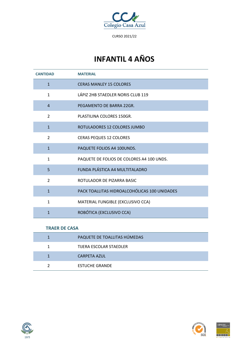

# **INFANTIL 4 AÑOS**

| <b>CANTIDAD</b> | <b>MATERIAL</b>                              |
|-----------------|----------------------------------------------|
| $\mathbf{1}$    | <b>CERAS MANLEY 15 COLORES</b>               |
| $\mathbf{1}$    | LÁPIZ 2HB STAEDLER NORIS CLUB 119            |
| $\overline{4}$  | PEGAMENTO DE BARRA 22GR.                     |
| $\overline{2}$  | PLASTILINA COLORES 150GR.                    |
| $\mathbf{1}$    | ROTULADORES 12 COLORES JUMBO                 |
| $\overline{2}$  | <b>CERAS PEQUES 12 COLORES</b>               |
| $\mathbf{1}$    | PAQUETE FOLIOS A4 100UNDS.                   |
| $\mathbf{1}$    | PAQUETE DE FOLIOS DE COLORES A4 100 UNDS.    |
| 5               | FUNDA PLÁSTICA A4 MULTITALADRO               |
| $\overline{2}$  | ROTULADOR DE PIZARRA BASIC                   |
| $\mathbf{1}$    | PACK TOALLITAS HIDROALCOHÓLICAS 100 UNIDADES |
| $\mathbf{1}$    | MATERIAL FUNGIBLE (EXCLUSIVO CCA)            |
| $\mathbf{1}$    | ROBÓTICA (EXCLUSIVO CCA)                     |

| PAQUETE DE TOALLITAS HÚMEDAS |
|------------------------------|
| TIJERA ESCOLAR STAEDLER      |
| <b>CARPETA AZUL</b>          |
| <b>ESTUCHE GRANDE</b>        |



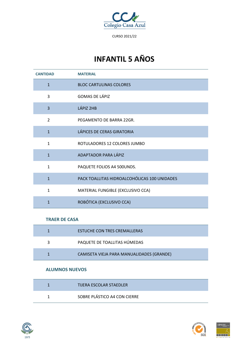

# **INFANTIL 5 AÑOS**

| <b>CANTIDAD</b>          | <b>MATERIAL</b>                              |
|--------------------------|----------------------------------------------|
| $\mathbf{1}$             | <b>BLOC CARTULINAS COLORES</b>               |
| 3                        | <b>GOMAS DE LÁPIZ</b>                        |
| $\overline{3}$           | LÁPIZ 2HB                                    |
| $\overline{\phantom{a}}$ | PEGAMENTO DE BARRA 22GR.                     |
| $\mathbf{1}$             | LÁPICES DE CERAS GIRATORIA                   |
| $\mathbf{1}$             | ROTULADORES 12 COLORES JUMBO                 |
| $\mathbf{1}$             | ADAPTADOR PARA LÁPIZ                         |
| $\mathbf{1}$             | PAQUETE FOLIOS A4 500UNDS.                   |
| $\mathbf{1}$             | PACK TOALLITAS HIDROALCOHÓLICAS 100 UNIDADES |
| $\mathbf{1}$             | MATERIAL FUNGIBLE (EXCLUSIVO CCA)            |
| $\mathbf{1}$             | ROBÓTICA (EXCLUSIVO CCA)                     |

#### **TRAER DE CASA**

| <b>ESTUCHE CON TRES CREMALLERAS</b>       |
|-------------------------------------------|
| PAQUETE DE TOALLITAS HÚMEDAS              |
| CAMISETA VIEJA PARA MANUALIDADES (GRANDE) |

#### **ALUMNOS NUEVOS**

| <b>TIJERA ESCOLAR STAEDLER</b> |  |
|--------------------------------|--|
| SOBRE PLÁSTICO A4 CON CIERRE   |  |





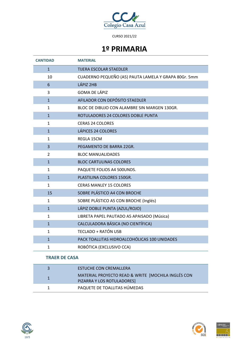

### **1º PRIMARIA**

| <b>CANTIDAD</b>      | <b>MATERIAL</b>                                      |
|----------------------|------------------------------------------------------|
| $\mathbf{1}$         | TIJERA ESCOLAR STAEDLER                              |
| 10                   | CUADERNO PEQUEÑO (A5) PAUTA LAMELA Y GRAPA 80Gr. 5mm |
| 6                    | LÁPIZ 2HB                                            |
| 3                    | <b>GOMA DE LÁPIZ</b>                                 |
| $\overline{1}$       | AFILADOR CON DEPÓSITO STAEDLER                       |
| 1                    | BLOC DE DIBUJO CON ALAMBRE SIN MARGEN 130GR.         |
| $\mathbf{1}$         | ROTULADORES 24 COLORES DOBLE PUNTA                   |
| 1                    | <b>CERAS 24 COLORES</b>                              |
| $\mathbf{1}$         | LÁPICES 24 COLORES                                   |
| 1                    | REGLA 15CM                                           |
| 3                    | PEGAMENTO DE BARRA 22GR.                             |
| 2                    | <b>BLOC MANUALIDADES</b>                             |
| $\mathbf{1}$         | <b>BLOC CARTULINAS COLORES</b>                       |
| 1                    | PAQUETE FOLIOS A4 500UNDS.                           |
| $\mathbf{1}$         | PLASTILINA COLORES 150GR.                            |
| 1                    | <b>CERAS MANLEY 15 COLORES</b>                       |
| 15                   | SOBRE PLÁSTICO A4 CON BROCHE                         |
| $\mathbf{1}$         | SOBRE PLÁSTICO A5 CON BROCHE (Inglés)                |
| $\mathbf{1}$         | LÁPIZ DOBLE PUNTA (AZUL/ROJO)                        |
| 1                    | LIBRETA PAPEL PAUTADO A5 APAISADO (Música)           |
| $\mathbf{1}$         | CALCULADORA BÁSICA (NO CIENTÍFICA)                   |
| 1                    | <b>TECLADO + RATÓN USB</b>                           |
| $\mathbf{1}$         | PACK TOALLITAS HIDROALCOHÓLICAS 100 UNIDADES         |
| 1                    | ROBÓTICA (EXCLUSIVO CCA)                             |
| <b>TRAER DE CASA</b> |                                                      |

#### ESTUCHE CON CREMALLERA MATERIAL PROYECTO READ & WRITE [MOCHILA INGLÉS CON PIZARRA Y LOS ROTULADORES] PAQUETE DE TOALLITAS HÚMEDAS





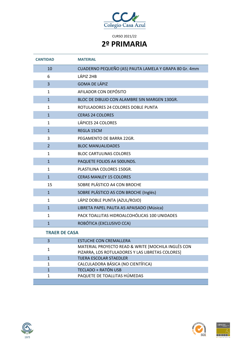

### **2º PRIMARIA**

| <b>CANTIDAD</b> | <b>MATERIAL</b>                                       |
|-----------------|-------------------------------------------------------|
| 10              | CUADERNO PEQUEÑO (A5) PAUTA LAMELA Y GRAPA 80 Gr. 4mm |
| 6               | LÁPIZ 2HB                                             |
| 3               | <b>GOMA DE LÁPIZ</b>                                  |
| $\mathbf{1}$    | AFILADOR CON DEPÓSITO                                 |
| $\mathbf{1}$    | BLOC DE DIBUJO CON ALAMBRE SIN MARGEN 130GR.          |
| $\mathbf{1}$    | ROTULADORES 24 COLORES DOBLE PUNTA                    |
| $\mathbf{1}$    | <b>CERAS 24 COLORES</b>                               |
| $\mathbf{1}$    | LÁPICES 24 COLORES                                    |
| $\mathbf{1}$    | REGLA 15CM                                            |
| 3               | PEGAMENTO DE BARRA 22GR.                              |
| $\overline{2}$  | <b>BLOC MANUALIDADES</b>                              |
| $\mathbf{1}$    | <b>BLOC CARTULINAS COLORES</b>                        |
| $\mathbf{1}$    | PAQUETE FOLIOS A4 500UNDS.                            |
| $\mathbf{1}$    | PLASTILINA COLORES 150GR.                             |
| $\mathbf{1}$    | <b>CERAS MANLEY 15 COLORES</b>                        |
| 15              | SOBRE PLÁSTICO A4 CON BROCHE                          |
| $\mathbf{1}$    | SOBRE PLÁSTICO A5 CON BROCHE (Inglés)                 |
| $\mathbf{1}$    | LÁPIZ DOBLE PUNTA (AZUL/ROJO)                         |
| $\mathbf{1}$    | LIBRETA PAPEL PAUTA A5 APAISADO (Música)              |
| $\mathbf{1}$    | PACK TOALLITAS HIDROALCOHÓLICAS 100 UNIDADES          |
| $\mathbf{1}$    | ROBÓTICA (EXCLUSIVO CCA)                              |

| <b>ESTUCHE CON CREMALLERA</b>                                                                          |
|--------------------------------------------------------------------------------------------------------|
| MATERIAL PROYECTO READ & WRITE [MOCHILA INGLÉS CON<br>PIZARRA, LOS ROTULADORES Y LAS LIBRETAS COLORES] |
| <b>TIJERA ESCOLAR STAEDLER</b>                                                                         |
| CALCULADORA BÁSICA (NO CIENTÍFICA)                                                                     |
| <b>TECLADO + RATÓN USB</b>                                                                             |
| PAQUETE DE TOALLITAS HÚMEDAS                                                                           |
|                                                                                                        |





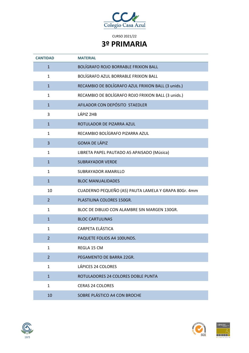

| <b>CANTIDAD</b> | <b>MATERIAL</b>                                      |
|-----------------|------------------------------------------------------|
| $\mathbf{1}$    | <b>BOLÍGRAFO ROJO BORRABLE FRIXION BALL</b>          |
| $\mathbf{1}$    | BOLÍGRAFO AZUL BORRABLE FRIXION BALL                 |
| $\mathbf{1}$    | RECAMBIO DE BOLÍGRAFO AZUL FRIXION BALL (3 unids.)   |
| $\mathbf{1}$    | RECAMBIO DE BOLÍGRAFO ROJO FRIXION BALL (3 unids.)   |
| $\mathbf{1}$    | AFILADOR CON DEPÓSITO STAEDLER                       |
| 3               | LÁPIZ 2HB                                            |
| $\mathbf{1}$    | ROTULADOR DE PIZARRA AZUL                            |
| $\mathbf{1}$    | RECAMBIO BOLÍGRAFO PIZARRA AZUL                      |
| 3               | <b>GOMA DE LÁPIZ</b>                                 |
| $\mathbf{1}$    | LIBRETA PAPEL PAUTADO A5 APAISADO (Música)           |
| $\mathbf{1}$    | <b>SUBRAYADOR VERDE</b>                              |
| $\mathbf{1}$    | SUBRAYADOR AMARILLO                                  |
| $\mathbf{1}$    | <b>BLOC MANUALIDADES</b>                             |
| 10              | CUADERNO PEQUEÑO (A5) PAUTA LAMELA Y GRAPA 80Gr. 4mm |
| $\overline{2}$  | PLASTILINA COLORES 150GR.                            |
| $\mathbf{1}$    | BLOC DE DIBUJO CON ALAMBRE SIN MARGEN 130GR.         |
| $\mathbf{1}$    | <b>BLOC CARTULINAS</b>                               |
| $\mathbf{1}$    |                                                      |
|                 | CARPETA ELÁSTICA                                     |
| $\overline{2}$  | PAQUETE FOLIOS A4 100UNDS.                           |
| $\mathbf{1}$    | REGLA 15 CM                                          |
| $\overline{2}$  | PEGAMENTO DE BARRA 22GR.                             |
| $\mathbf{1}$    | <b>LÁPICES 24 COLORES</b>                            |
| $\mathbf{1}$    | ROTULADORES 24 COLORES DOBLE PUNTA                   |
| $\mathbf{1}$    | <b>CERAS 24 COLORES</b>                              |





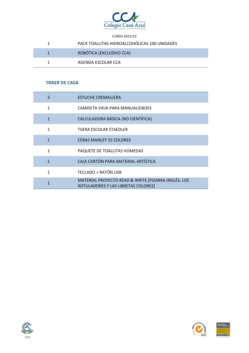

| PACK TOALLITAS HIDROALCOHÓLICAS 100 UNIDADES |
|----------------------------------------------|
| ROBÓTICA (EXCLUSIVO CCA)                     |
| AGENDA ESCOLAR CCA                           |

| 3            | <b>ESTUCHE CREMALLERA</b>                                                                  |
|--------------|--------------------------------------------------------------------------------------------|
| $\mathbf{1}$ | CAMISETA VIEJA PARA MANUALIDADES                                                           |
| $\mathbf{1}$ | CALCULADORA BÁSICA (NO CIENTÍFICA)                                                         |
| $\mathbf{1}$ | TIJERA ESCOLAR STAEDLER                                                                    |
| $\mathbf{1}$ | <b>CERAS MANLEY 15 COLORES</b>                                                             |
| $\mathbf{1}$ | PAQUETE DE TOALLITAS HÚMEDAS                                                               |
| $\mathbf{1}$ | CAJA CARTÓN PARA MATERIAL ARTÍSTICA                                                        |
| $\mathbf{1}$ | TECLADO + RATÓN USB                                                                        |
| 1            | MATERIAL PROYECTO READ & WRITE [PIZARRA INGLÉS, LOS<br>ROTULADORES Y LAS LIBRETAS COLORES] |



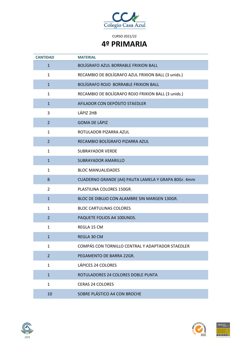

| <b>CANTIDAD</b> | <b>MATERIAL</b>                                     |
|-----------------|-----------------------------------------------------|
| $\mathbf{1}$    | BOLÍGRAFO AZUL BORRABLE FRIXION BALL                |
| $\mathbf{1}$    | RECAMBIO DE BOLÍGRAFO AZUL FRIXION BALL (3 unids.)  |
| $\mathbf{1}$    | BOLÍGRAFO ROJO BORRABLE FRIXION BALL                |
| $\mathbf{1}$    | RECAMBIO DE BOLÍGRAFO ROJO FRIXION BALL (3 unids.)  |
| $\mathbf{1}$    | AFILADOR CON DEPÓSITO STAEDLER                      |
| 3               | LÁPIZ 2HB                                           |
| $\overline{2}$  | <b>GOMA DE LÁPIZ</b>                                |
| $\mathbf{1}$    | ROTULADOR PIZARRA AZUL                              |
| $\overline{2}$  | RECAMBIO BOLÍGRAFO PIZARRA AZUL                     |
| $\mathbf{1}$    | <b>SUBRAYADOR VERDE</b>                             |
| $\mathbf{1}$    | <b>SUBRAYADOR AMARILLO</b>                          |
| $\mathbf{1}$    | <b>BLOC MANUALIDADES</b>                            |
| 8               | CUADERNO GRANDE (A4) PAUTA LAMELA Y GRAPA 80Gr. 4mm |
| $\overline{2}$  | PLASTILINA COLORES 150GR.                           |
| $\mathbf{1}$    | BLOC DE DIBUJO CON ALAMBRE SIN MARGEN 130GR.        |
| $\mathbf{1}$    | <b>BLOC CARTULINAS COLORES</b>                      |
| $\overline{2}$  | PAQUETE FOLIOS A4 100UNDS.                          |
| $\mathbf{1}$    | REGLA 15 CM                                         |
| $\mathbf{1}$    | REGLA 30 CM                                         |
| $\mathbf{1}$    | COMPÁS CON TORNILLO CENTRAL Y ADAPTADOR STAEDLER    |
| $\overline{2}$  | PEGAMENTO DE BARRA 22GR.                            |
| $\mathbf{1}$    | LÁPICES 24 COLORES                                  |
| $\mathbf{1}$    | ROTULADORES 24 COLORES DOBLE PUNTA                  |
| $\mathbf{1}$    | <b>CERAS 24 COLORES</b>                             |
| 10              | SOBRE PLÁSTICO A4 CON BROCHE                        |





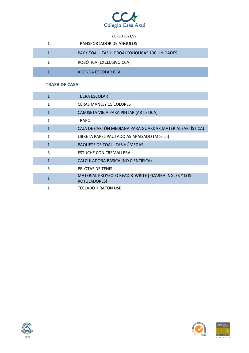

| <b>TRANSPORTADOR DE ÁNGULOS</b>              |
|----------------------------------------------|
| PACK TOALLITAS HIDROALCOHÓLICAS 100 UNIDADES |
| ROBÓTICA (EXCLUSIVO CCA)                     |
| AGENDA ESCOLAR CCA                           |

| $\mathbf{1}$ | <b>TIJERA ESCOLAR</b>                                                |
|--------------|----------------------------------------------------------------------|
| $\mathbf{1}$ | <b>CERAS MANLEY 15 COLORES</b>                                       |
| $\mathbf{1}$ | CAMISETA VIEJA PARA PINTAR (ARTÍSTICA)                               |
| 1            | <b>TRAPO</b>                                                         |
| $\mathbf{1}$ | CAJA DE CARTÓN MEDIANA PARA GUARDAR MATERIAL (ARTÍSTICA)             |
| 1            | LIBRETA PAPEL PAUTADO A5 APAISADO (Música)                           |
| $\mathbf{1}$ | PAQUETE DE TOALLITAS HÚMEDAS                                         |
| 3            | ESTUCHE CON CREMALLERA                                               |
| $\mathbf{1}$ | CALCULADORA BÁSICA (NO CIENTÍFICA)                                   |
| 3            | PELOTAS DE TENIS                                                     |
| $\mathbf{1}$ | MATERIAL PROYECTO READ & WRITE [PIZARRA INGLÉS Y LOS<br>ROTULADORES] |
| 1            | <b>TECLADO + RATÓN USB</b>                                           |





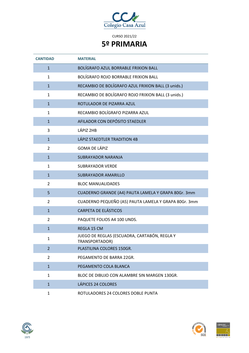

| <b>CANTIDAD</b> | <b>MATERIAL</b>                                                |
|-----------------|----------------------------------------------------------------|
| $\mathbf{1}$    | BOLÍGRAFO AZUL BORRABLE FRIXION BALL                           |
| $\mathbf{1}$    | BOLÍGRAFO ROJO BORRABLE FRIXION BALL                           |
| $\mathbf{1}$    | RECAMBIO DE BOLÍGRAFO AZUL FRIXION BALL (3 unids.)             |
| $\mathbf{1}$    | RECAMBIO DE BOLÍGRAFO ROJO FRIXION BALL (3 unids.)             |
| $\mathbf{1}$    | ROTULADOR DE PIZARRA AZUL                                      |
| $\mathbf{1}$    | RECAMBIO BOLÍGRAFO PIZARRA AZUL                                |
| $\mathbf{1}$    | AFILADOR CON DEPÓSITO STAEDLER                                 |
| 3               | LÁPIZ 2HB                                                      |
| $\mathbf{1}$    | LÁPIZ STAEDTLER TRADITION 4B                                   |
| $\overline{2}$  | <b>GOMA DE LÁPIZ</b>                                           |
| $\mathbf{1}$    | SUBRAYADOR NARANJA                                             |
| $\mathbf{1}$    | <b>SUBRAYADOR VERDE</b>                                        |
| $\mathbf{1}$    | <b>SUBRAYADOR AMARILLO</b>                                     |
| $\overline{2}$  | <b>BLOC MANUALIDADES</b>                                       |
| 5               | CUADERNO GRANDE (A4) PAUTA LAMELA Y GRAPA 80Gr. 3mm            |
| $\overline{2}$  | CUADERNO PEQUEÑO (A5) PAUTA LAMELA Y GRAPA 80Gr. 3mm           |
| $\mathbf{1}$    | <b>CARPETA DE ELÁSTICOS</b>                                    |
| 2               | PAQUETE FOLIOS A4 100 UNDS.                                    |
| $\mathbf{1}$    | REGLA 15 CM                                                    |
| 1               | JUEGO DE REGLAS (ESCUADRA, CARTABÓN, REGLA Y<br>TRANSPORTADOR) |
| $\overline{2}$  | PLASTILINA COLORES 150GR.                                      |
| $\overline{2}$  | PEGAMENTO DE BARRA 22GR.                                       |
| $\mathbf{1}$    | PEGAMENTO COLA BLANCA                                          |
| $\mathbf{1}$    | BLOC DE DIBUJO CON ALAMBRE SIN MARGEN 130GR.                   |
| $\mathbf{1}$    | LÁPICES 24 COLORES                                             |
| 1               | ROTULADORES 24 COLORES DOBLE PUNTA                             |





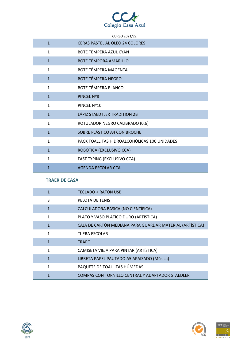

|              | CURSO 2021/22                                |
|--------------|----------------------------------------------|
| $\mathbf{1}$ | CERAS PASTEL AL ÓLEO 24 COLORES              |
| $\mathbf{1}$ | BOTE TÉMPERA AZUL CYAN                       |
| $\mathbf{1}$ | <b>BOTE TÉMPORA AMARILLO</b>                 |
| $\mathbf{1}$ | BOTE TÉMPERA MAGENTA                         |
| $\mathbf{1}$ | <b>BOTE TÉMPERA NEGRO</b>                    |
| $\mathbf{1}$ | <b>BOTE TÉMPERA BLANCO</b>                   |
| $\mathbf{1}$ | <b>PINCEL Nº8</b>                            |
| $\mathbf{1}$ | PINCEL Nº10                                  |
| $\mathbf{1}$ | LÁPIZ STAEDTLER TRADITION 2B                 |
| $\mathbf{1}$ | ROTULADOR NEGRO CALIBRADO (0.6)              |
| $\mathbf{1}$ | SOBRE PLÁSTICO A4 CON BROCHE                 |
| $\mathbf{1}$ | PACK TOALLITAS HIDROALCOHÓLICAS 100 UNIDADES |
| $\mathbf{1}$ | ROBÓTICA (EXCLUSIVO CCA)                     |
| $\mathbf{1}$ | FAST TYPING (EXCLUSIVO CCA)                  |
| 1            | <b>AGENDA ESCOLAR CCA</b>                    |

| $\mathbf{1}$ | <b>TECLADO + RATÓN USB</b>                               |
|--------------|----------------------------------------------------------|
| 3            | PELOTA DE TENIS                                          |
| $\mathbf{1}$ | CALCULADORA BÁSICA (NO CIENTÍFICA)                       |
| $\mathbf{1}$ | PLATO Y VASO PLÁTICO DURO (ARTÍSTICA)                    |
| $\mathbf{1}$ | CAJA DE CARTÓN MEDIANA PARA GUARDAR MATERIAL (ARTÍSTICA) |
| 1            | TIJERA ESCOLAR                                           |
| $\mathbf{1}$ | <b>TRAPO</b>                                             |
| 1            | CAMISETA VIEJA PARA PINTAR (ARTÍSTICA)                   |
| 1            | LIBRETA PAPEL PAUTADO A5 APAISADO (Música)               |
| 1            | PAQUETE DE TOALLITAS HÚMEDAS                             |
| 1            | COMPÁS CON TORNILLO CENTRAL Y ADAPTADOR STAEDLER         |





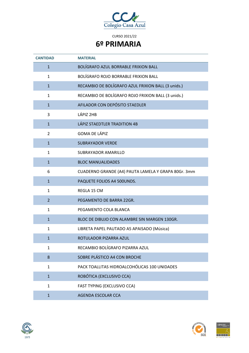

| <b>CANTIDAD</b> | <b>MATERIAL</b>                                     |
|-----------------|-----------------------------------------------------|
| $\mathbf{1}$    | BOLÍGRAFO AZUL BORRABLE FRIXION BALL                |
| $\mathbf{1}$    | BOLÍGRAFO ROJO BORRABLE FRIXION BALL                |
| $\mathbf{1}$    | RECAMBIO DE BOLÍGRAFO AZUL FRIXION BALL (3 unids.)  |
| $\mathbf{1}$    | RECAMBIO DE BOLÍGRAFO ROJO FRIXION BALL (3 unids.)  |
| $\mathbf{1}$    | AFILADOR CON DEPÓSITO STAEDLER                      |
| 3               | LÁPIZ 2HB                                           |
| $\mathbf{1}$    | LÁPIZ STAEDTLER TRADITION 4B                        |
| 2               | <b>GOMA DE LÁPIZ</b>                                |
| $\mathbf{1}$    | <b>SUBRAYADOR VERDE</b>                             |
| $\mathbf{1}$    | SUBRAYADOR AMARILLO                                 |
| $\mathbf{1}$    | <b>BLOC MANUALIDADES</b>                            |
| 6               | CUADERNO GRANDE (A4) PAUTA LAMELA Y GRAPA 80Gr. 3mm |
| $\mathbf{1}$    | PAQUETE FOLIOS A4 500UNDS.                          |
| $\mathbf{1}$    | REGLA 15 CM                                         |
| $\overline{2}$  | PEGAMENTO DE BARRA 22GR.                            |
| $\mathbf{1}$    | PEGAMENTO COLA BLANCA                               |
| $\mathbf{1}$    | BLOC DE DIBUJO CON ALAMBRE SIN MARGEN 130GR.        |
| $\mathbf{1}$    | LIBRETA PAPEL PAUTADO A5 APAISADO (Música)          |
| $\mathbf{1}$    | ROTULADOR PIZARRA AZUL                              |
| $\mathbf{1}$    | RECAMBIO BOLÍGRAFO PIZARRA AZUL                     |
| 8               | SOBRE PLÁSTICO A4 CON BROCHE                        |
| $\mathbf{1}$    | PACK TOALLITAS HIDROALCOHÓLICAS 100 UNIDADES        |
| $\mathbf{1}$    | ROBÓTICA (EXCLUSIVO CCA)                            |
| $\mathbf{1}$    | FAST TYPING (EXCLUSIVO CCA)                         |
| $\mathbf{1}$    | <b>AGENDA ESCOLAR CCA</b>                           |